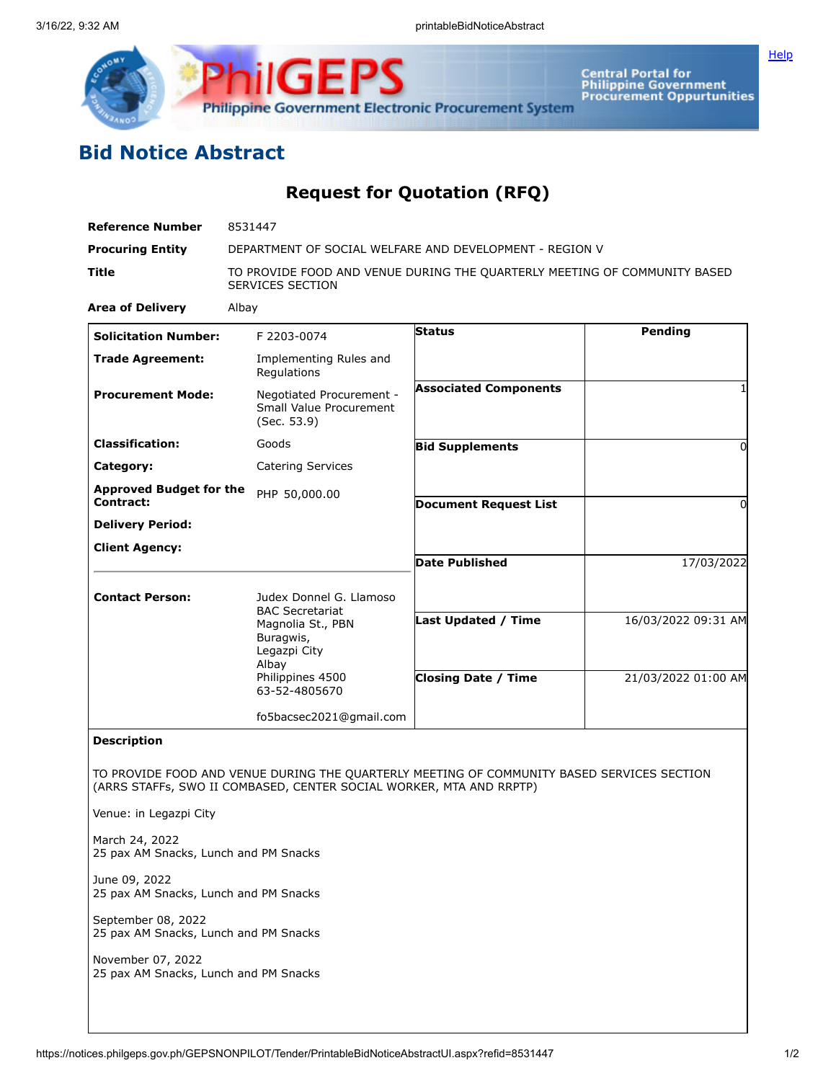

Central Portal for<br>Philippine Government<br>Procurement Oppurtunities

## **Bid Notice Abstract**

## **Request for Quotation (RFQ)**

| <b>Reference Number</b>                                                                                                                                           | 8531447                                                                                       |                              |                     |
|-------------------------------------------------------------------------------------------------------------------------------------------------------------------|-----------------------------------------------------------------------------------------------|------------------------------|---------------------|
| <b>Procuring Entity</b>                                                                                                                                           | DEPARTMENT OF SOCIAL WELFARE AND DEVELOPMENT - REGION V                                       |                              |                     |
| <b>Title</b>                                                                                                                                                      | TO PROVIDE FOOD AND VENUE DURING THE QUARTERLY MEETING OF COMMUNITY BASED<br>SERVICES SECTION |                              |                     |
| <b>Area of Delivery</b>                                                                                                                                           | Albay                                                                                         |                              |                     |
| <b>Solicitation Number:</b>                                                                                                                                       | F 2203-0074                                                                                   | <b>Status</b>                | Pending             |
| <b>Trade Agreement:</b>                                                                                                                                           | Implementing Rules and<br>Regulations                                                         |                              |                     |
| <b>Procurement Mode:</b>                                                                                                                                          | Negotiated Procurement -<br>Small Value Procurement<br>(Sec. 53.9)                            | <b>Associated Components</b> |                     |
| <b>Classification:</b>                                                                                                                                            | Goods                                                                                         | <b>Bid Supplements</b>       | $\Omega$            |
| Category:                                                                                                                                                         | <b>Catering Services</b>                                                                      |                              |                     |
| <b>Approved Budget for the</b>                                                                                                                                    | PHP 50,000.00                                                                                 |                              |                     |
| Contract:                                                                                                                                                         |                                                                                               | <b>Document Request List</b> | 0                   |
| <b>Delivery Period:</b>                                                                                                                                           |                                                                                               |                              |                     |
| <b>Client Agency:</b>                                                                                                                                             |                                                                                               | <b>Date Published</b>        | 17/03/2022          |
| <b>Contact Person:</b>                                                                                                                                            | Judex Donnel G. Llamoso<br><b>BAC Secretariat</b><br>Magnolia St., PBN                        | <b>Last Updated / Time</b>   | 16/03/2022 09:31 AM |
|                                                                                                                                                                   | Buragwis,<br>Legazpi City<br>Albay                                                            |                              |                     |
|                                                                                                                                                                   | Philippines 4500<br>63-52-4805670                                                             | <b>Closing Date / Time</b>   | 21/03/2022 01:00 AM |
|                                                                                                                                                                   | fo5bacsec2021@gmail.com                                                                       |                              |                     |
| <b>Description</b>                                                                                                                                                |                                                                                               |                              |                     |
| TO PROVIDE FOOD AND VENUE DURING THE QUARTERLY MEETING OF COMMUNITY BASED SERVICES SECTION<br>(ARRS STAFFs, SWO II COMBASED, CENTER SOCIAL WORKER, MTA AND RRPTP) |                                                                                               |                              |                     |
| Venue: in Legazpi City                                                                                                                                            |                                                                                               |                              |                     |
| March 24, 2022<br>25 pax AM Snacks, Lunch and PM Snacks                                                                                                           |                                                                                               |                              |                     |
| June 09, 2022<br>25 pax AM Snacks, Lunch and PM Snacks                                                                                                            |                                                                                               |                              |                     |
| September 08, 2022<br>25 pax AM Snacks, Lunch and PM Snacks                                                                                                       |                                                                                               |                              |                     |
| November 07, 2022<br>25 pax AM Snacks, Lunch and PM Snacks                                                                                                        |                                                                                               |                              |                     |